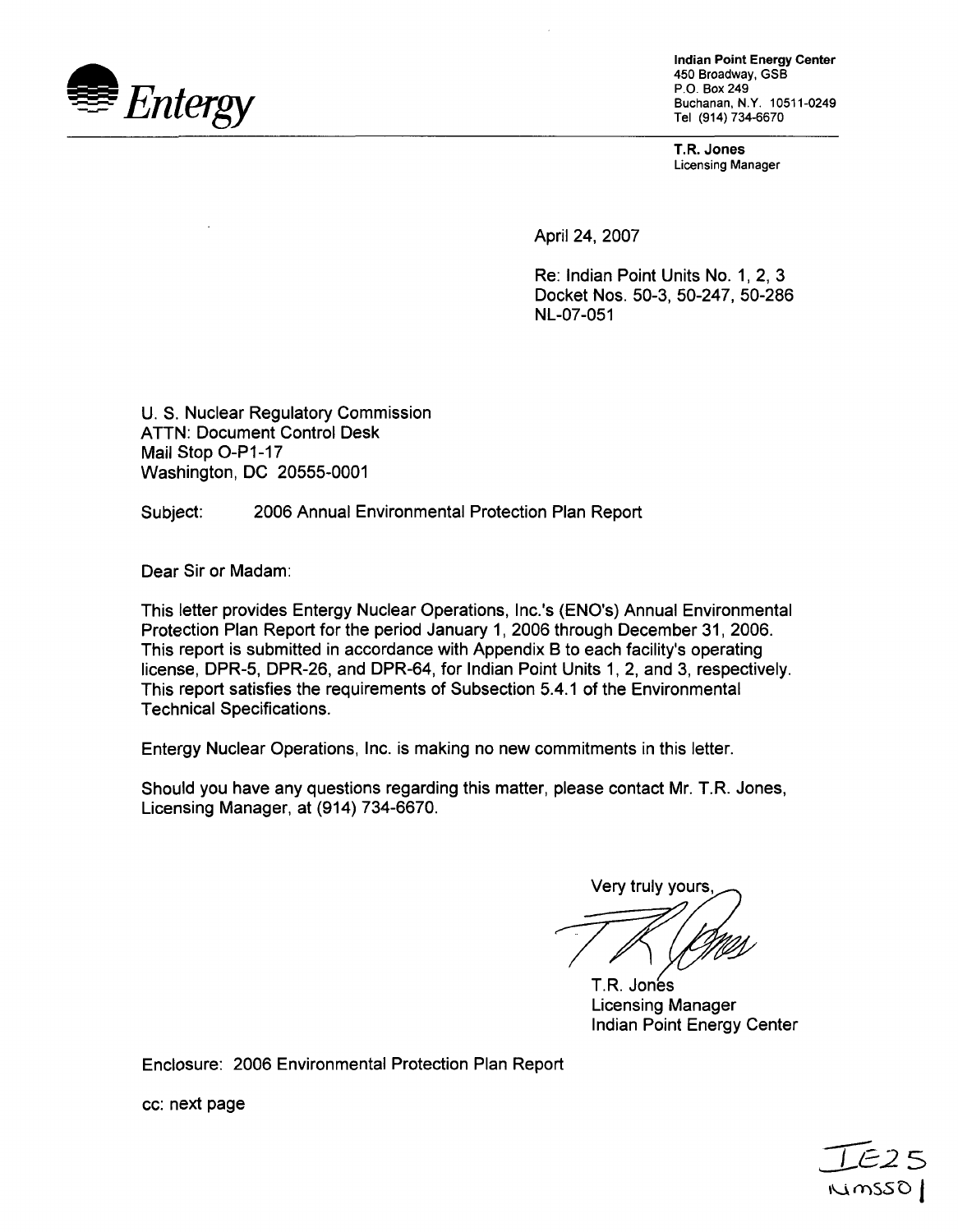

Indian Point Energy Center 450 Broadway, GSB (914) **734-6670**

T.R. Jones Licensing Manager

April 24, 2007

Re: Indian Point Units No. 1, 2, 3 Docket Nos. 50-3, 50-247, 50-286 NL-07-051

U. S. Nuclear Regulatory Commission ATTN: Document Control Desk Mail Stop O-P1-17 Washington, DC 20555-0001

Subject: 2006 Annual Environmental Protection Plan Report

Dear Sir or Madam:

This letter provides Entergy Nuclear Operations, Inc.'s (ENO's) Annual Environmental Protection Plan Report for the period January 1, 2006 through December 31, 2006. This report is submitted in accordance with Appendix B to each facility's operating license, DPR-5, DPR-26, and DPR-64, for Indian Point Units 1, 2, and 3, respectively. This report satisfies the requirements of Subsection 5.4.1 of the Environmental Technical Specifications.

Entergy Nuclear Operations, Inc. is making no new commitments in this letter.

Should you have any questions regarding this matter, please contact Mr. T.R. Jones, Licensing Manager, at (914) 734-6670.

Very truly yours,

T.R. Jones Licensing Manager Indian Point Energy Center

Enclosure: 2006 Environmental Protection Plan Report

cc: next page

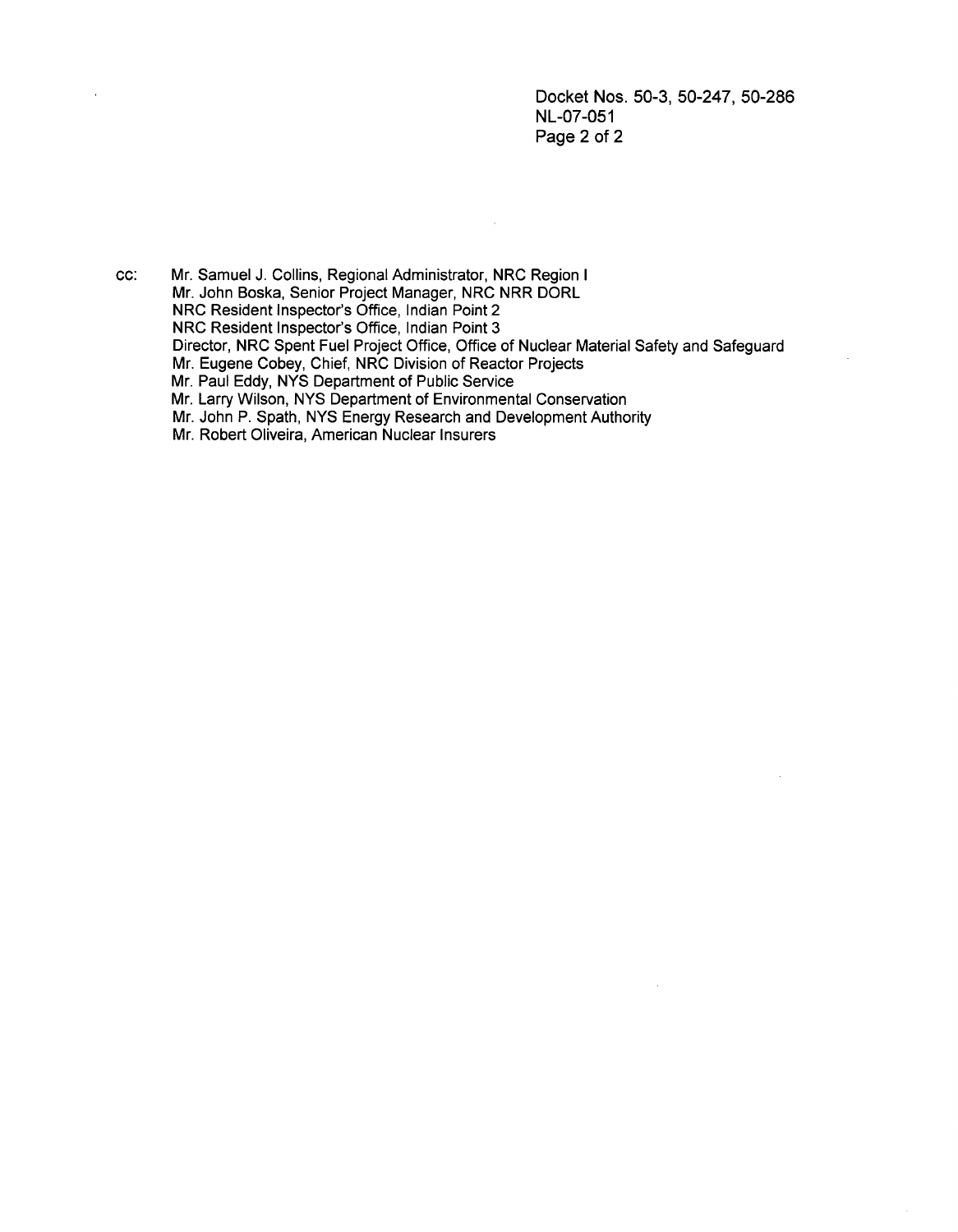Docket Nos. 50-3, 50-247, 50-286 NL-07-051 Page 2 of 2

cc: Mr. Samuel J. Collins, Regional Administrator, NRC Region I Mr. John Boska, Senior Project Manager, NRC NRR DORL NRC Resident Inspector's Office, Indian Point 2 NRC Resident Inspector's Office, Indian Point 3 Director, NRC Spent Fuel Project Office, Office of Nuclear Material Safety and Safeguard Mr. Eugene Cobey, Chief, NRC Division of Reactor Projects Mr. Paul Eddy, NYS Department of Public Service Mr. Larry Wilson, NYS Department of Environmental Conservation Mr. John P. Spath, NYS Energy Research and Development Authority Mr. Robert Oliveira, American Nuclear Insurers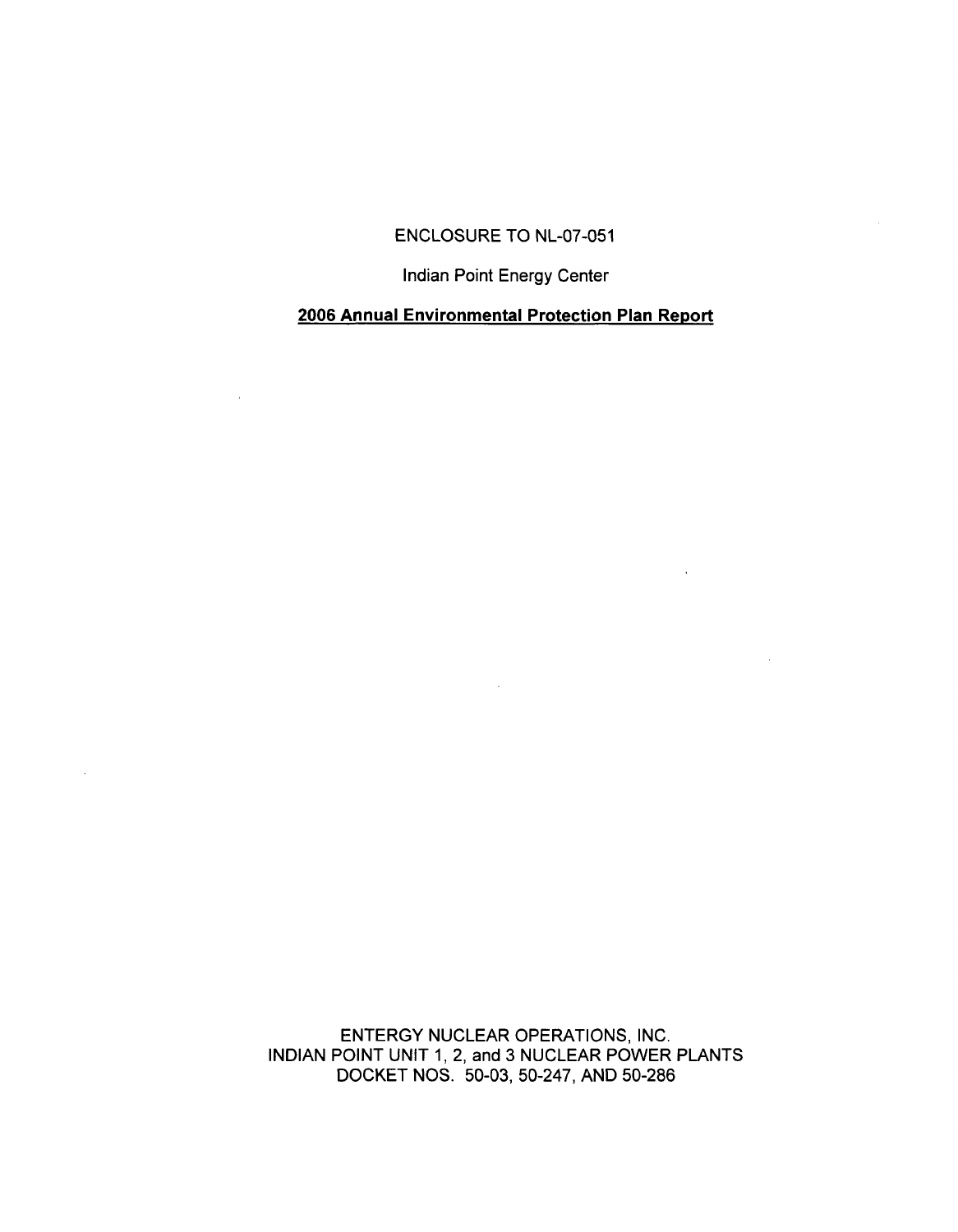### ENCLOSURE TO NL-07-051

Indian Point Energy Center

## **2006** Annual Environmental Protection Plan Report

 $\sim$ 

ENTERGY NUCLEAR OPERATIONS, INC. INDIAN POINT UNIT 1, 2, and 3 NUCLEAR POWER PLANTS DOCKET NOS. 50-03, 50-247, AND 50-286

 $\sim$   $\sim$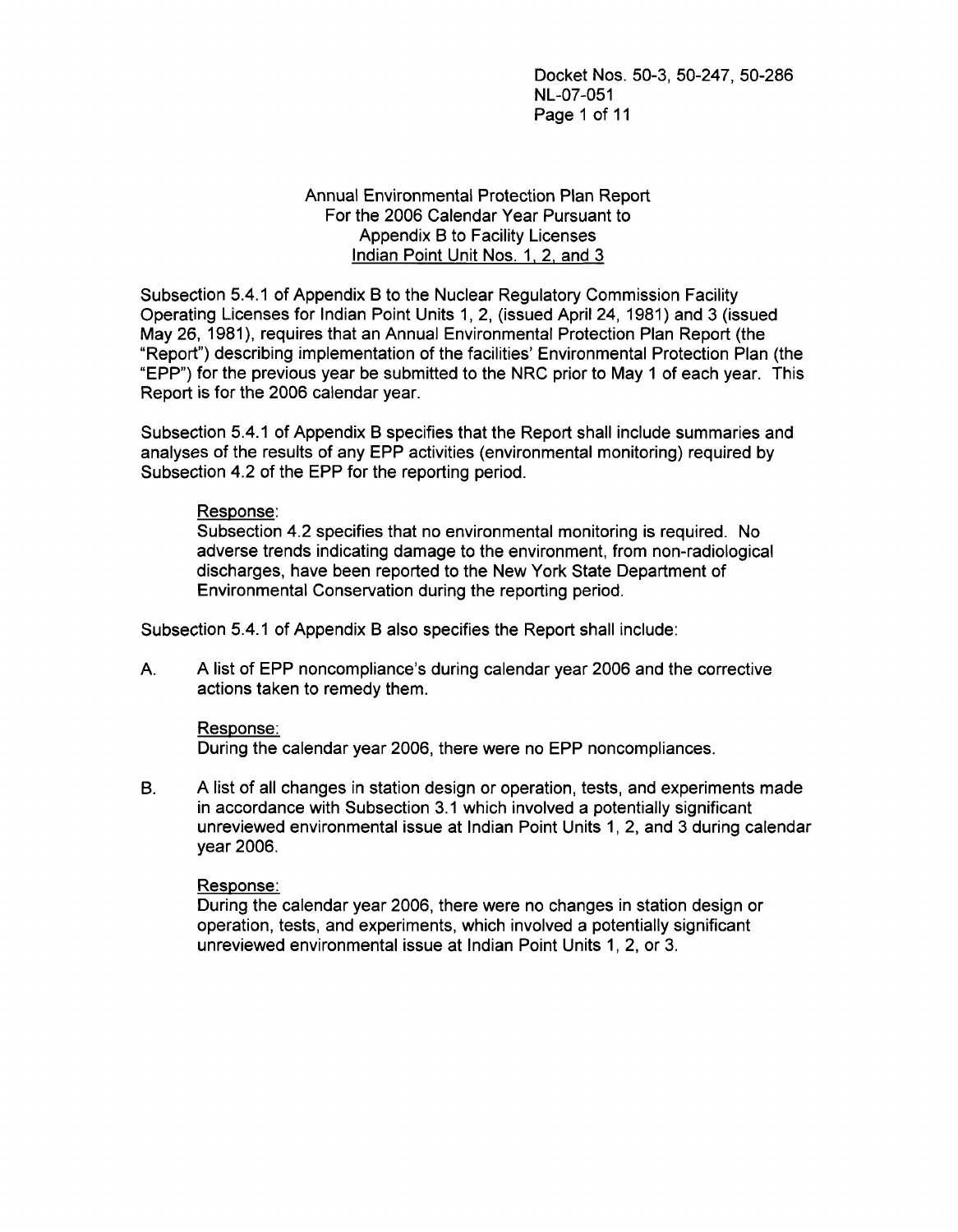Docket Nos. 50-3, 50-247, 50-286 NL-07-051 Page 1 of 11

#### Annual Environmental Protection Plan Report For the 2006 Calendar Year Pursuant to Appendix B to Facility Licenses Indian Point Unit Nos. 1, 2, and 3

Subsection 5.4.1 of Appendix B to the Nuclear Regulatory Commission Facility Operating Licenses for Indian Point Units 1, 2, (issued April 24, 1981) and 3 (issued May 26, 1981), requires that an Annual Environmental Protection Plan Report (the "Report") describing implementation of the facilities' Environmental Protection Plan (the "EPP") for the previous year be submitted to the NRC prior to May 1 of each year. This Report is for the 2006 calendar year.

Subsection 5.4.1 of Appendix B specifies that the Report shall include summaries and analyses of the results of any EPP activities (environmental monitoring) required by Subsection 4.2 of the EPP for the reporting period.

#### Response:

Subsection 4.2 specifies that no environmental monitoring is required. No adverse trends indicating damage to the environment, from non-radiological discharges, have been reported to the New York State Department of Environmental Conservation during the reporting period.

Subsection 5.4.1 of Appendix B also specifies the Report shall include:

A. A list of EPP noncompliance's during calendar year 2006 and the corrective actions taken to remedy them.

#### Response:

During the calendar year 2006, there were no EPP noncompliances.

B. A list of all changes in station design or operation, tests, and experiments made in accordance with Subsection 3.1 which involved a potentially significant unreviewed environmental issue at Indian Point Units 1, 2, and 3 during calendar year 2006.

#### Response:

During the calendar year 2006, there were no changes in station design or operation, tests, and experiments, which involved a potentially significant unreviewed environmental issue at Indian Point Units 1, 2, or 3.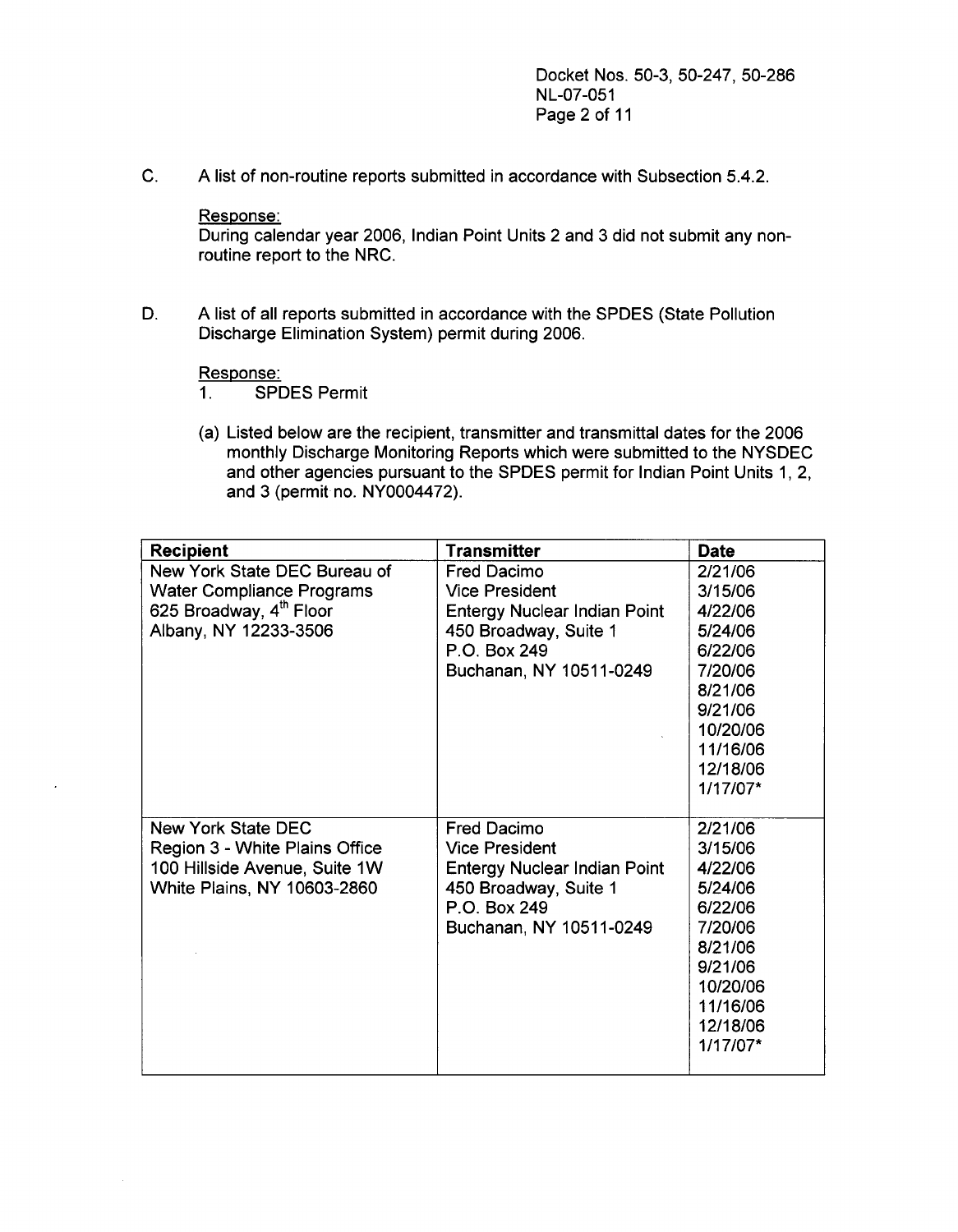Docket Nos. 50-3, 50-247, 50-286 NL-07-051 Page 2 of 11

C. A list of non-routine reports submitted in accordance with Subsection 5.4.2.

Response:

During calendar year 2006, Indian Point Units 2 and 3 did not submit any nonroutine report to the NRC.

D. A list of all reports submitted in accordance with the SPDES (State Pollution Discharge Elimination System) permit during 2006.

# Response:<br>1. SPI

- 1. SPDES Permit
- (a) Listed below are the recipient, transmitter and transmittal dates for the 2006 monthly Discharge Monitoring Reports which were submitted to the NYSDEC and other agencies pursuant to the SPDES permit for Indian Point Units 1, 2, and 3 (permit no. NY0004472).

| <b>Recipient</b>                    | <b>Transmitter</b>                  | <b>Date</b> |
|-------------------------------------|-------------------------------------|-------------|
| New York State DEC Bureau of        | Fred Dacimo                         | 2/21/06     |
| <b>Water Compliance Programs</b>    | <b>Vice President</b>               | 3/15/06     |
| 625 Broadway, 4 <sup>th</sup> Floor | <b>Entergy Nuclear Indian Point</b> | 4/22/06     |
| Albany, NY 12233-3506               | 450 Broadway, Suite 1               | 5/24/06     |
|                                     | P.O. Box 249                        | 6/22/06     |
|                                     | Buchanan, NY 10511-0249             | 7/20/06     |
|                                     |                                     | 8/21/06     |
|                                     |                                     | 9/21/06     |
|                                     |                                     | 10/20/06    |
|                                     |                                     | 11/16/06    |
|                                     |                                     | 12/18/06    |
|                                     |                                     | 1/17/07*    |
|                                     |                                     |             |
| New York State DEC                  | <b>Fred Dacimo</b>                  | 2/21/06     |
| Region 3 - White Plains Office      | <b>Vice President</b>               | 3/15/06     |
| 100 Hillside Avenue, Suite 1W       | <b>Entergy Nuclear Indian Point</b> | 4/22/06     |
| White Plains, NY 10603-2860         | 450 Broadway, Suite 1               | 5/24/06     |
|                                     | P.O. Box 249                        | 6/22/06     |
|                                     | Buchanan, NY 10511-0249             | 7/20/06     |
|                                     |                                     | 8/21/06     |
|                                     |                                     | 9/21/06     |
|                                     |                                     | 10/20/06    |
|                                     |                                     | 11/16/06    |
|                                     |                                     | 12/18/06    |
|                                     |                                     | 1/17/07*    |
|                                     |                                     |             |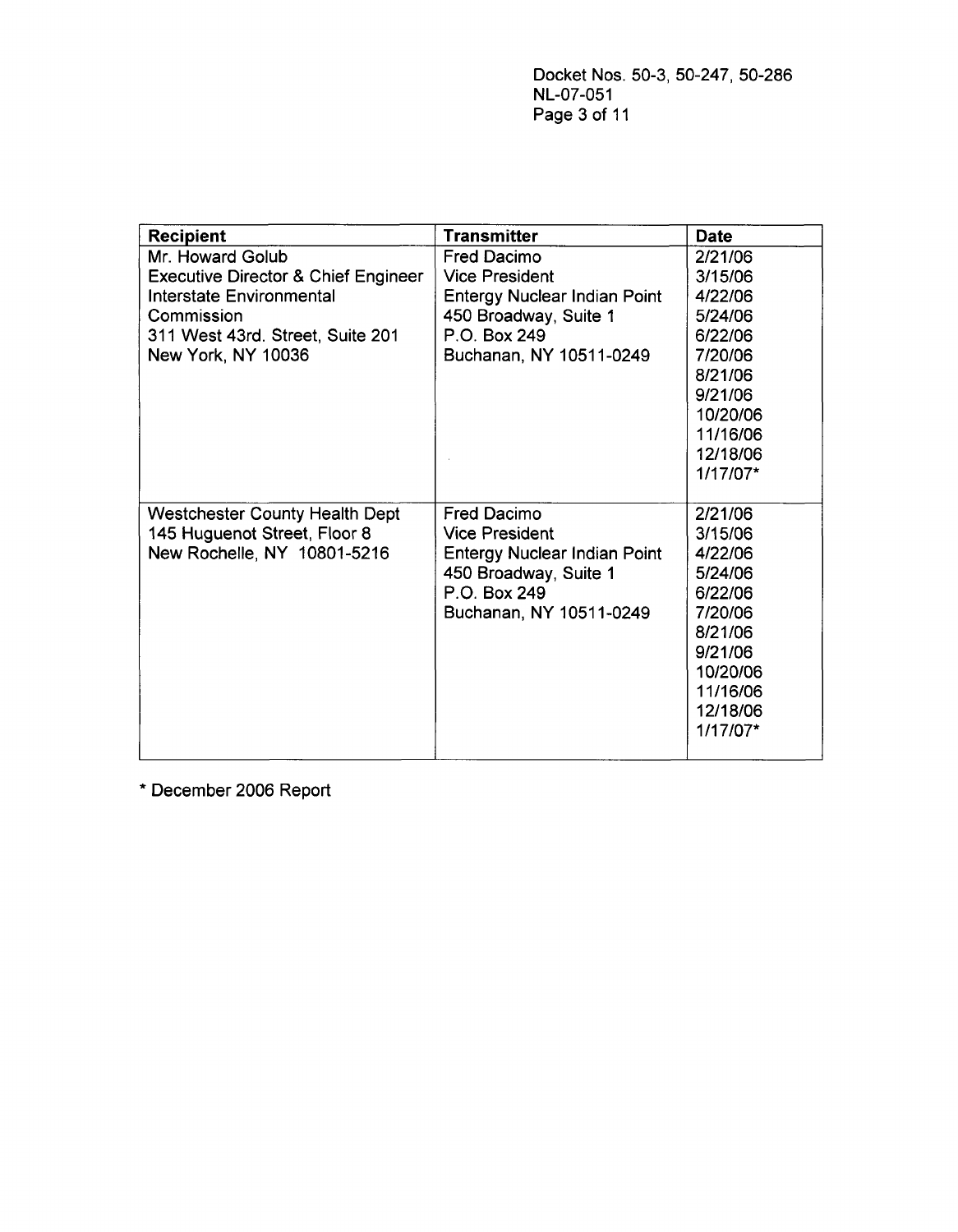| <b>Recipient</b>                               | <b>Transmitter</b>                  | <b>Date</b> |
|------------------------------------------------|-------------------------------------|-------------|
| Mr. Howard Golub                               | <b>Fred Dacimo</b>                  | 2/21/06     |
| <b>Executive Director &amp; Chief Engineer</b> | <b>Vice President</b>               | 3/15/06     |
| Interstate Environmental                       | <b>Entergy Nuclear Indian Point</b> | 4/22/06     |
| Commission                                     | 450 Broadway, Suite 1               | 5/24/06     |
| 311 West 43rd. Street, Suite 201               | P.O. Box 249                        | 6/22/06     |
| New York, NY 10036                             | Buchanan, NY 10511-0249             | 7/20/06     |
|                                                |                                     | 8/21/06     |
|                                                |                                     | 9/21/06     |
|                                                |                                     | 10/20/06    |
|                                                |                                     | 11/16/06    |
|                                                |                                     | 12/18/06    |
|                                                |                                     | 1/17/07*    |
|                                                |                                     |             |
| <b>Westchester County Health Dept</b>          | <b>Fred Dacimo</b>                  | 2/21/06     |
| 145 Huguenot Street, Floor 8                   | <b>Vice President</b>               | 3/15/06     |
| New Rochelle, NY 10801-5216                    | <b>Entergy Nuclear Indian Point</b> | 4/22/06     |
|                                                | 450 Broadway, Suite 1               | 5/24/06     |
|                                                | P.O. Box 249                        | 6/22/06     |
|                                                | Buchanan, NY 10511-0249             | 7/20/06     |
|                                                |                                     | 8/21/06     |
|                                                |                                     | 9/21/06     |
|                                                |                                     | 10/20/06    |
|                                                |                                     | 11/16/06    |
|                                                |                                     | 12/18/06    |
|                                                |                                     | 1/17/07*    |
|                                                |                                     |             |

\* December 2006 Report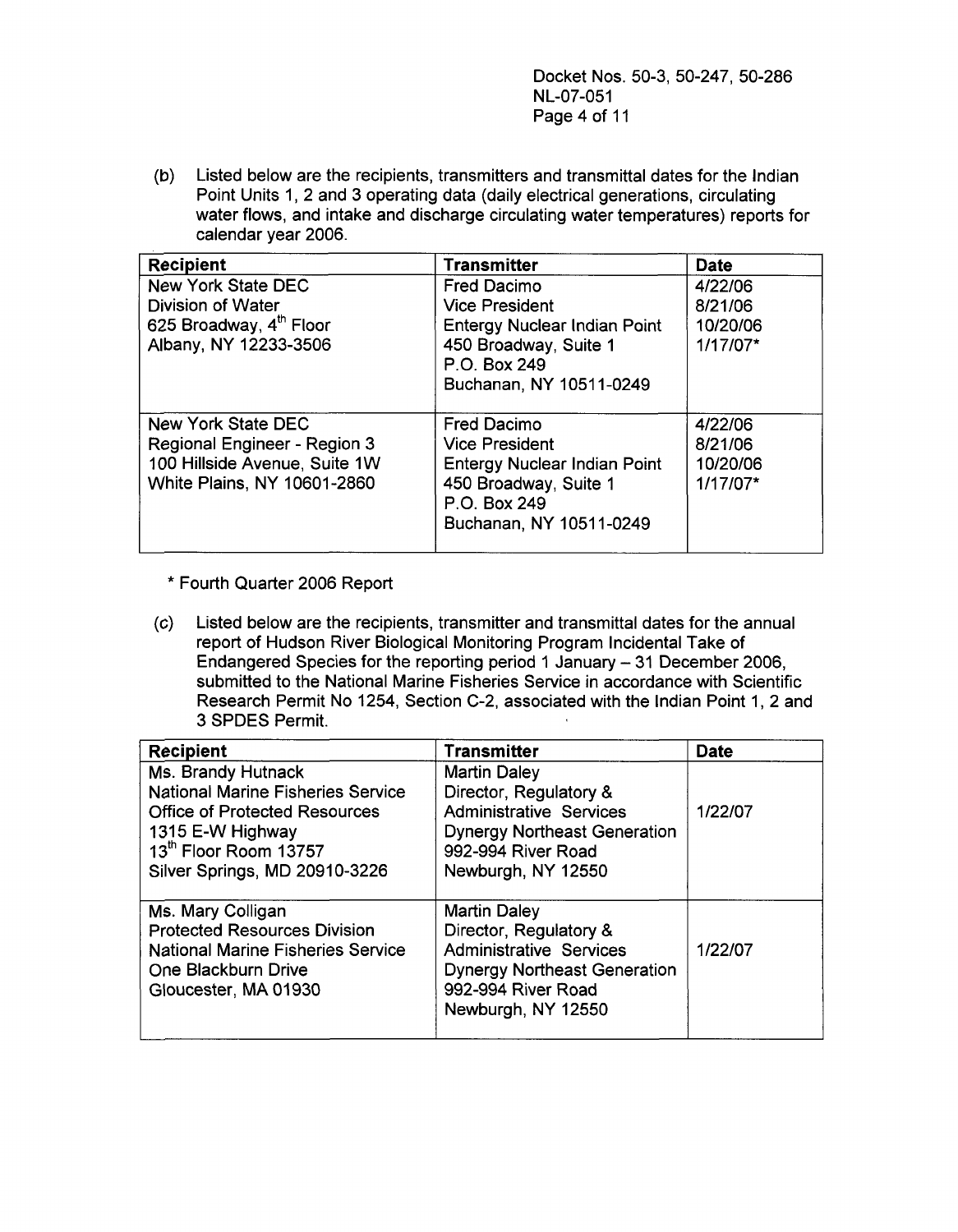Docket Nos. 50-3, 50-247, 50-286 NL-07-051 Page 4 of 11

(b) Listed below are the recipients, transmitters and transmittal dates for the Indian Point Units 1, 2 and 3 operating data (daily electrical generations, circulating water flows, and intake and discharge circulating water temperatures) reports for calendar year 2006.

| <b>Recipient</b>                    | <b>Transmitter</b>                  | <b>Date</b> |
|-------------------------------------|-------------------------------------|-------------|
| <b>New York State DEC</b>           | <b>Fred Dacimo</b>                  | 4/22/06     |
| <b>Division of Water</b>            | <b>Vice President</b>               | 8/21/06     |
| 625 Broadway, 4 <sup>th</sup> Floor | <b>Entergy Nuclear Indian Point</b> | 10/20/06    |
| Albany, NY 12233-3506               | 450 Broadway, Suite 1               | 1/17/07*    |
|                                     | P.O. Box 249                        |             |
|                                     | Buchanan, NY 10511-0249             |             |
|                                     |                                     |             |
| New York State DEC                  | <b>Fred Dacimo</b>                  | 4/22/06     |
| Regional Engineer - Region 3        | <b>Vice President</b>               | 8/21/06     |
| 100 Hillside Avenue, Suite 1W       | <b>Entergy Nuclear Indian Point</b> | 10/20/06    |
| White Plains, NY 10601-2860         | 450 Broadway, Suite 1               | 1/17/07*    |
|                                     | P.O. Box 249                        |             |
|                                     | Buchanan, NY 10511-0249             |             |
|                                     |                                     |             |

\* Fourth Quarter 2006 Report

(c) Listed below are the recipients, transmitter and transmittal dates for the annual report of Hudson River Biological Monitoring Program Incidental Take of Endangered Species for the reporting period 1 January - 31 December 2006, submitted to the National Marine Fisheries Service in accordance with Scientific Research Permit No 1254, Section C-2, associated with the Indian Point 1, 2 and 3 SPDES Permit.

| <b>Recipient</b>                                                                                                                                                                     | <b>Transmitter</b>                                                                                                                                                                       | <b>Date</b> |
|--------------------------------------------------------------------------------------------------------------------------------------------------------------------------------------|------------------------------------------------------------------------------------------------------------------------------------------------------------------------------------------|-------------|
| Ms. Brandy Hutnack<br><b>National Marine Fisheries Service</b><br><b>Office of Protected Resources</b><br>1315 E-W Highway<br>13th Floor Room 13757                                  | <b>Martin Daley</b><br>Director, Regulatory &<br><b>Administrative Services</b><br><b>Dynergy Northeast Generation</b><br>992-994 River Road                                             | 1/22/07     |
| Silver Springs, MD 20910-3226<br>Ms. Mary Colligan<br><b>Protected Resources Division</b><br><b>National Marine Fisheries Service</b><br>One Blackburn Drive<br>Gloucester, MA 01930 | Newburgh, NY 12550<br><b>Martin Daley</b><br>Director, Regulatory &<br><b>Administrative Services</b><br><b>Dynergy Northeast Generation</b><br>992-994 River Road<br>Newburgh, NY 12550 | 1/22/07     |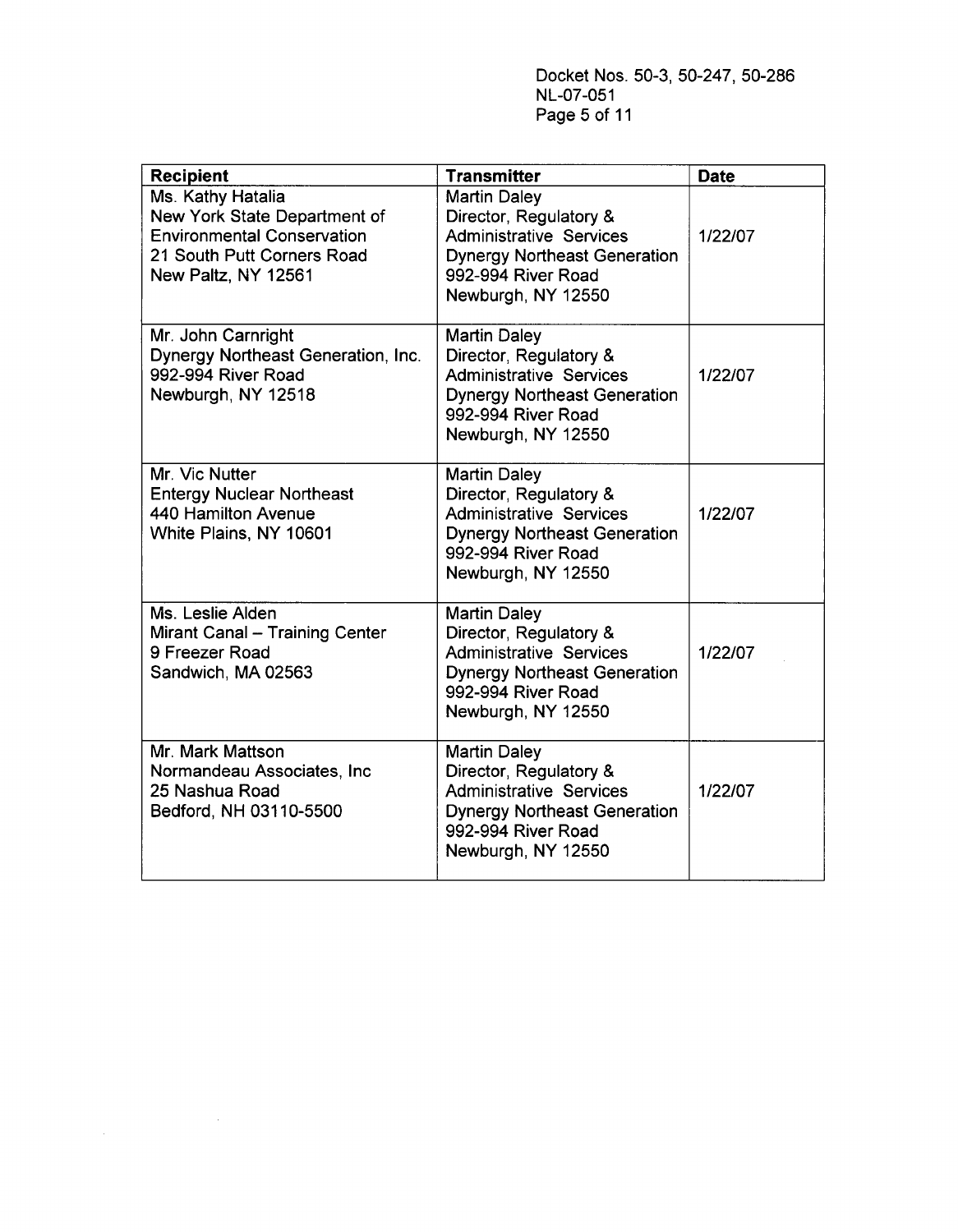Docket Nos. 50-3, 50-247, 50-286 NL-07-051 Page **5** of 11

| <b>Recipient</b>                                                                                                                            | <b>Transmitter</b>                                                                                                                                                 | <b>Date</b> |
|---------------------------------------------------------------------------------------------------------------------------------------------|--------------------------------------------------------------------------------------------------------------------------------------------------------------------|-------------|
| Ms. Kathy Hatalia<br>New York State Department of<br><b>Environmental Conservation</b><br>21 South Putt Corners Road<br>New Paltz, NY 12561 | <b>Martin Daley</b><br>Director, Regulatory &<br><b>Administrative Services</b><br><b>Dynergy Northeast Generation</b><br>992-994 River Road<br>Newburgh, NY 12550 | 1/22/07     |
| Mr. John Carnright<br><b>Dynergy Northeast Generation, Inc.</b><br>992-994 River Road<br>Newburgh, NY 12518                                 | <b>Martin Daley</b><br>Director, Regulatory &<br><b>Administrative Services</b><br><b>Dynergy Northeast Generation</b><br>992-994 River Road<br>Newburgh, NY 12550 | 1/22/07     |
| Mr. Vic Nutter<br><b>Entergy Nuclear Northeast</b><br>440 Hamilton Avenue<br>White Plains, NY 10601                                         | <b>Martin Daley</b><br>Director, Regulatory &<br><b>Administrative Services</b><br><b>Dynergy Northeast Generation</b><br>992-994 River Road<br>Newburgh, NY 12550 | 1/22/07     |
| Ms. Leslie Alden<br>Mirant Canal - Training Center<br>9 Freezer Road<br>Sandwich, MA 02563                                                  | <b>Martin Daley</b><br>Director, Regulatory &<br><b>Administrative Services</b><br><b>Dynergy Northeast Generation</b><br>992-994 River Road<br>Newburgh, NY 12550 | 1/22/07     |
| Mr. Mark Mattson<br>Normandeau Associates, Inc.<br>25 Nashua Road<br>Bedford, NH 03110-5500                                                 | <b>Martin Daley</b><br>Director, Regulatory &<br><b>Administrative Services</b><br><b>Dynergy Northeast Generation</b><br>992-994 River Road<br>Newburgh, NY 12550 | 1/22/07     |

 $\mathcal{L}_{\text{max}}$  and  $\mathcal{L}_{\text{max}}$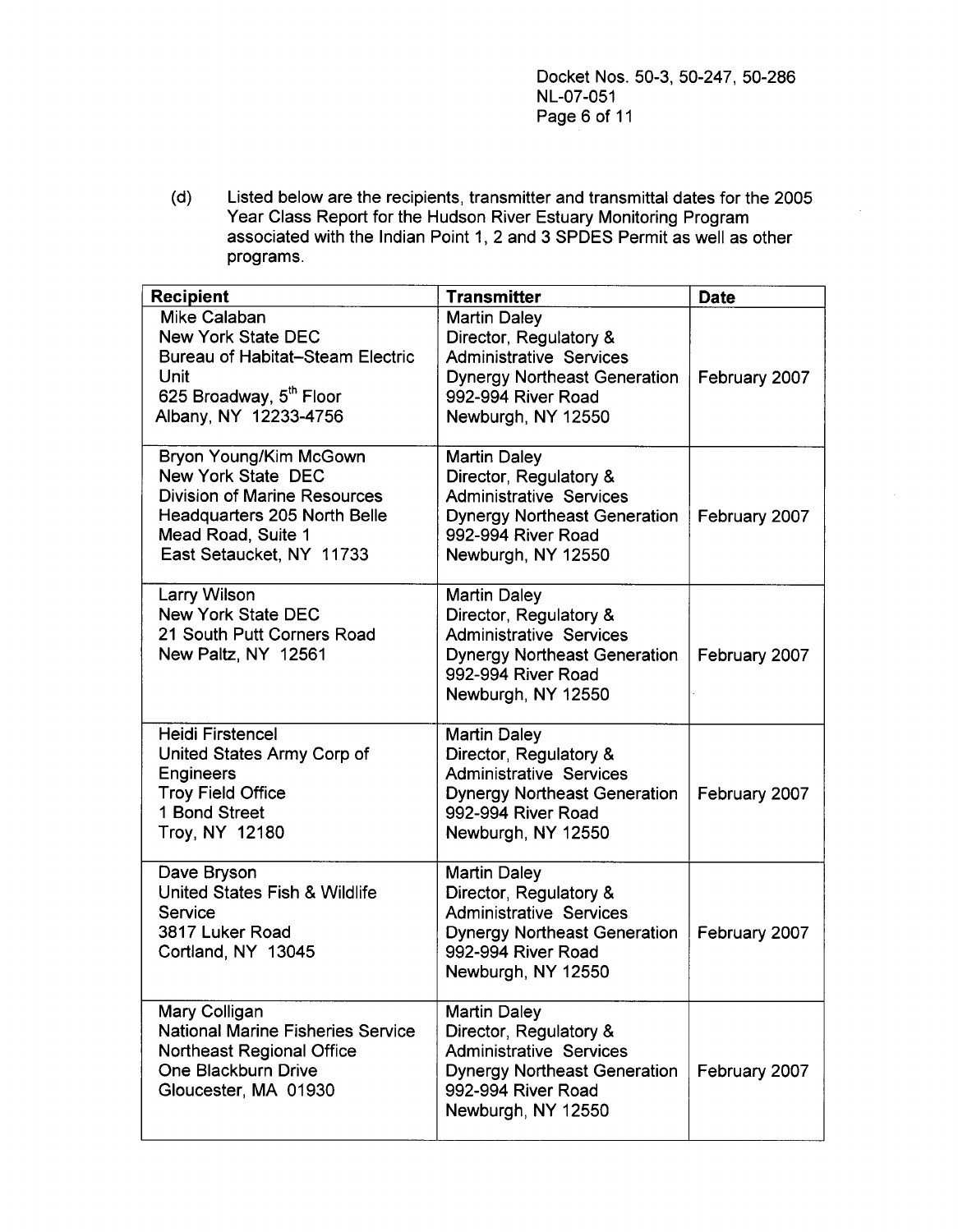Docket Nos. 50-3, 50-247, 50-286 NL-07-051 Page 6 of 11

(d) Listed below are the recipients, transmitter and transmittal dates for the 2005 Year Class Report for the Hudson River Estuary Monitoring Program associated with the Indian Point 1, 2 and 3 SPDES Permit as well as other programs.

| <b>Recipient</b>                                                                                                                                                      | <b>Transmitter</b>                                                                                                                                                 | <b>Date</b>   |
|-----------------------------------------------------------------------------------------------------------------------------------------------------------------------|--------------------------------------------------------------------------------------------------------------------------------------------------------------------|---------------|
| Mike Calaban<br><b>New York State DEC</b><br><b>Bureau of Habitat-Steam Electric</b><br>Unit<br>625 Broadway, 5 <sup>th</sup> Floor<br>Albany, NY 12233-4756          | <b>Martin Daley</b><br>Director, Regulatory &<br><b>Administrative Services</b><br><b>Dynergy Northeast Generation</b><br>992-994 River Road<br>Newburgh, NY 12550 | February 2007 |
| Bryon Young/Kim McGown<br>New York State DEC<br><b>Division of Marine Resources</b><br>Headquarters 205 North Belle<br>Mead Road, Suite 1<br>East Setaucket, NY 11733 | <b>Martin Daley</b><br>Director, Regulatory &<br><b>Administrative Services</b><br><b>Dynergy Northeast Generation</b><br>992-994 River Road<br>Newburgh, NY 12550 | February 2007 |
| Larry Wilson<br><b>New York State DEC</b><br>21 South Putt Corners Road<br>New Paltz, NY 12561                                                                        | <b>Martin Daley</b><br>Director, Regulatory &<br><b>Administrative Services</b><br><b>Dynergy Northeast Generation</b><br>992-994 River Road<br>Newburgh, NY 12550 | February 2007 |
| <b>Heidi Firstencel</b><br>United States Army Corp of<br><b>Engineers</b><br><b>Troy Field Office</b><br>1 Bond Street<br>Troy, NY 12180                              | <b>Martin Daley</b><br>Director, Regulatory &<br><b>Administrative Services</b><br><b>Dynergy Northeast Generation</b><br>992-994 River Road<br>Newburgh, NY 12550 | February 2007 |
| Dave Bryson<br>United States Fish & Wildlife<br>Service<br>3817 Luker Road<br>Cortland, NY 13045                                                                      | <b>Martin Daley</b><br>Director, Regulatory &<br><b>Administrative Services</b><br><b>Dynergy Northeast Generation</b><br>992-994 River Road<br>Newburgh, NY 12550 | February 2007 |
| Mary Colligan<br><b>National Marine Fisheries Service</b><br><b>Northeast Regional Office</b><br>One Blackburn Drive<br>Gloucester, MA 01930                          | <b>Martin Daley</b><br>Director, Regulatory &<br><b>Administrative Services</b><br><b>Dynergy Northeast Generation</b><br>992-994 River Road<br>Newburgh, NY 12550 | February 2007 |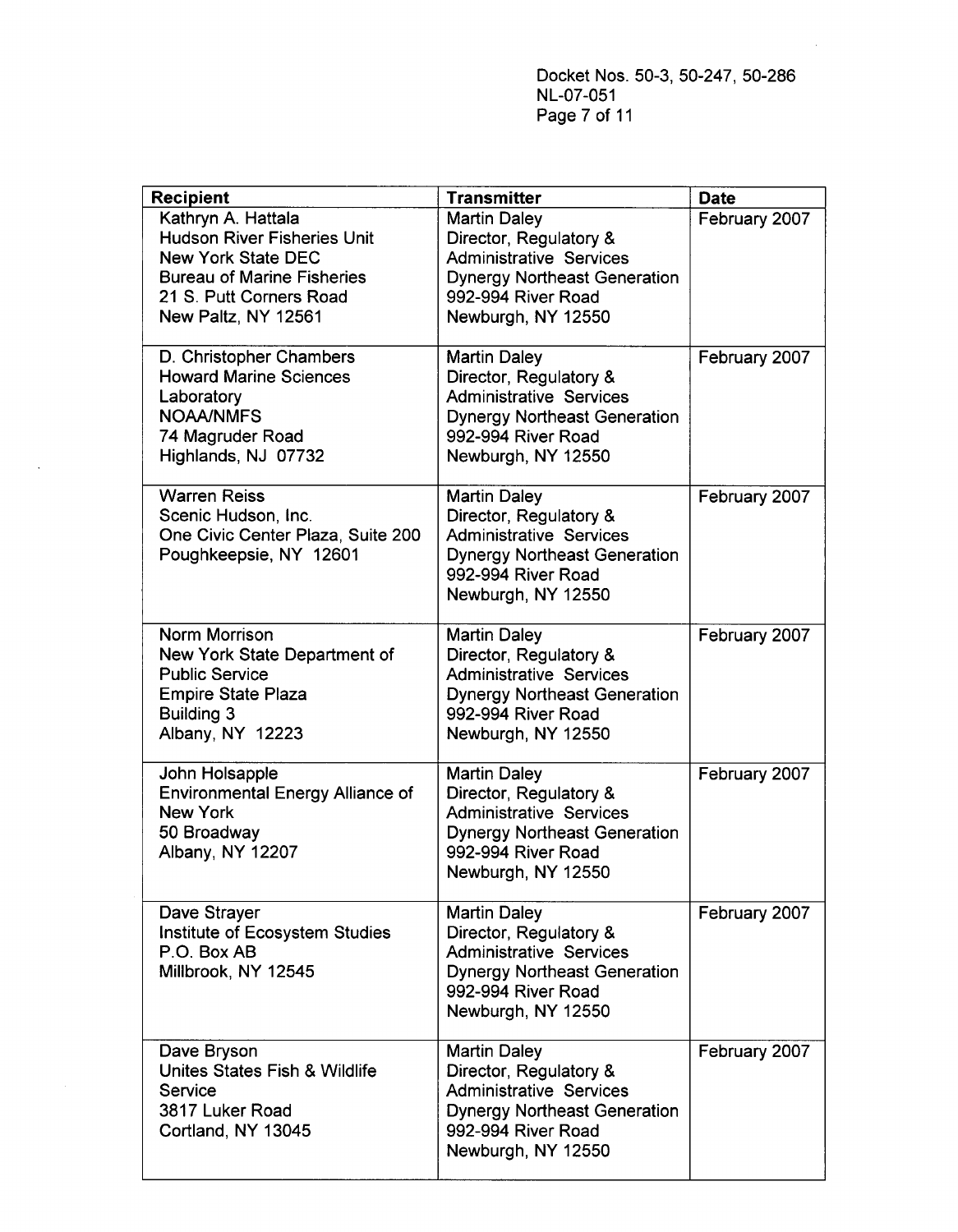Docket Nos. 50-3, 50-247, 50-286 NL-07-051 Page 7 of 11

| <b>Recipient</b>                                                                                                                                                             | <b>Transmitter</b>                                                                                                                                                 | <b>Date</b>   |
|------------------------------------------------------------------------------------------------------------------------------------------------------------------------------|--------------------------------------------------------------------------------------------------------------------------------------------------------------------|---------------|
| Kathryn A. Hattala<br><b>Hudson River Fisheries Unit</b><br><b>New York State DEC</b><br><b>Bureau of Marine Fisheries</b><br>21 S. Putt Corners Road<br>New Paltz, NY 12561 | <b>Martin Daley</b><br>Director, Regulatory &<br><b>Administrative Services</b><br><b>Dynergy Northeast Generation</b><br>992-994 River Road<br>Newburgh, NY 12550 | February 2007 |
| D. Christopher Chambers<br><b>Howard Marine Sciences</b><br>Laboratory<br><b>NOAA/NMFS</b><br>74 Magruder Road<br>Highlands, NJ 07732                                        | <b>Martin Daley</b><br>Director, Regulatory &<br><b>Administrative Services</b><br><b>Dynergy Northeast Generation</b><br>992-994 River Road<br>Newburgh, NY 12550 | February 2007 |
| <b>Warren Reiss</b><br>Scenic Hudson, Inc.<br>One Civic Center Plaza, Suite 200<br>Poughkeepsie, NY 12601                                                                    | <b>Martin Daley</b><br>Director, Regulatory &<br><b>Administrative Services</b><br><b>Dynergy Northeast Generation</b><br>992-994 River Road<br>Newburgh, NY 12550 | February 2007 |
| Norm Morrison<br>New York State Department of<br><b>Public Service</b><br><b>Empire State Plaza</b><br><b>Building 3</b><br>Albany, NY 12223                                 | <b>Martin Daley</b><br>Director, Regulatory &<br><b>Administrative Services</b><br><b>Dynergy Northeast Generation</b><br>992-994 River Road<br>Newburgh, NY 12550 | February 2007 |
| John Holsapple<br><b>Environmental Energy Alliance of</b><br><b>New York</b><br>50 Broadway<br>Albany, NY 12207                                                              | <b>Martin Daley</b><br>Director, Regulatory &<br><b>Administrative Services</b><br><b>Dynergy Northeast Generation</b><br>992-994 River Road<br>Newburgh, NY 12550 | February 2007 |
| Dave Strayer<br>Institute of Ecosystem Studies<br>P.O. Box AB<br>Millbrook, NY 12545                                                                                         | <b>Martin Daley</b><br>Director, Regulatory &<br><b>Administrative Services</b><br><b>Dynergy Northeast Generation</b><br>992-994 River Road<br>Newburgh, NY 12550 | February 2007 |
| Dave Bryson<br>Unites States Fish & Wildlife<br>Service<br>3817 Luker Road<br>Cortland, NY 13045                                                                             | <b>Martin Daley</b><br>Director, Regulatory &<br><b>Administrative Services</b><br><b>Dynergy Northeast Generation</b><br>992-994 River Road<br>Newburgh, NY 12550 | February 2007 |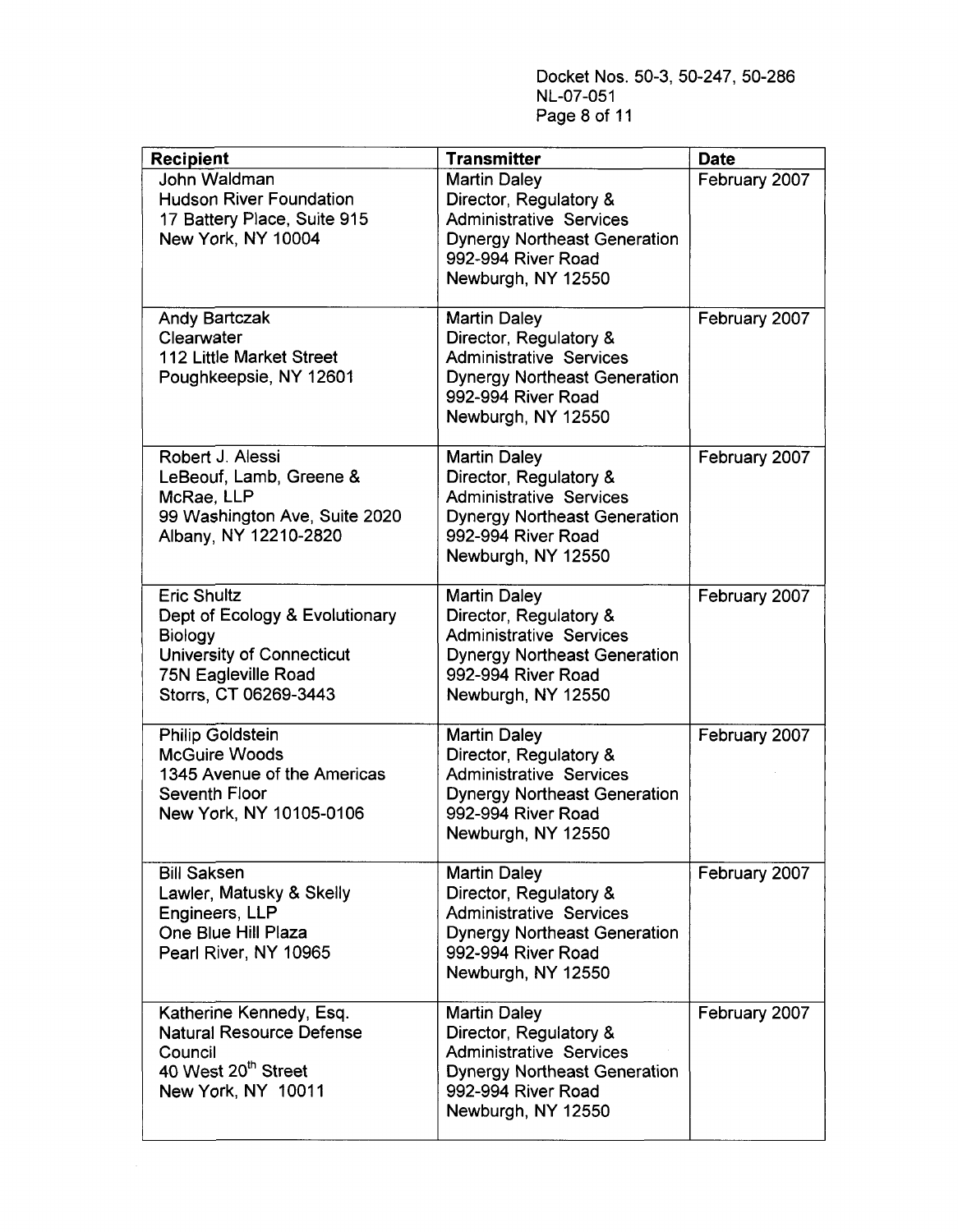Docket Nos. 50-3, 50-247, 50-286 NL-07-051 Page 8 of 11

| <b>Recipient</b>                                                                                                                                           | <b>Transmitter</b>                                                                                                                                                 | <b>Date</b>   |
|------------------------------------------------------------------------------------------------------------------------------------------------------------|--------------------------------------------------------------------------------------------------------------------------------------------------------------------|---------------|
| John Waldman<br><b>Hudson River Foundation</b><br>17 Battery Place, Suite 915<br>New York, NY 10004                                                        | <b>Martin Daley</b><br>Director, Regulatory &<br><b>Administrative Services</b><br><b>Dynergy Northeast Generation</b><br>992-994 River Road<br>Newburgh, NY 12550 | February 2007 |
| Andy Bartczak<br>Clearwater<br>112 Little Market Street<br>Poughkeepsie, NY 12601                                                                          | <b>Martin Daley</b><br>Director, Regulatory &<br><b>Administrative Services</b><br><b>Dynergy Northeast Generation</b><br>992-994 River Road<br>Newburgh, NY 12550 | February 2007 |
| Robert J. Alessi<br>LeBeouf, Lamb, Greene &<br>McRae, LLP<br>99 Washington Ave, Suite 2020<br>Albany, NY 12210-2820                                        | <b>Martin Daley</b><br>Director, Regulatory &<br><b>Administrative Services</b><br><b>Dynergy Northeast Generation</b><br>992-994 River Road<br>Newburgh, NY 12550 | February 2007 |
| <b>Eric Shultz</b><br>Dept of Ecology & Evolutionary<br><b>Biology</b><br><b>University of Connecticut</b><br>75N Eagleville Road<br>Storrs, CT 06269-3443 | <b>Martin Daley</b><br>Director, Regulatory &<br><b>Administrative Services</b><br><b>Dynergy Northeast Generation</b><br>992-994 River Road<br>Newburgh, NY 12550 | February 2007 |
| <b>Philip Goldstein</b><br><b>McGuire Woods</b><br>1345 Avenue of the Americas<br>Seventh Floor<br>New York, NY 10105-0106                                 | <b>Martin Daley</b><br>Director, Regulatory &<br><b>Administrative Services</b><br><b>Dynergy Northeast Generation</b><br>992-994 River Road<br>Newburgh, NY 12550 | February 2007 |
| <b>Bill Saksen</b><br>Lawler, Matusky & Skelly<br>Engineers, LLP<br>One Blue Hill Plaza<br>Pearl River, NY 10965                                           | <b>Martin Daley</b><br>Director, Regulatory &<br><b>Administrative Services</b><br><b>Dynergy Northeast Generation</b><br>992-994 River Road<br>Newburgh, NY 12550 | February 2007 |
| Katherine Kennedy, Esq.<br><b>Natural Resource Defense</b><br>Council<br>40 West 20 <sup>th</sup> Street<br>New York, NY 10011                             | <b>Martin Daley</b><br>Director, Regulatory &<br><b>Administrative Services</b><br><b>Dynergy Northeast Generation</b><br>992-994 River Road<br>Newburgh, NY 12550 | February 2007 |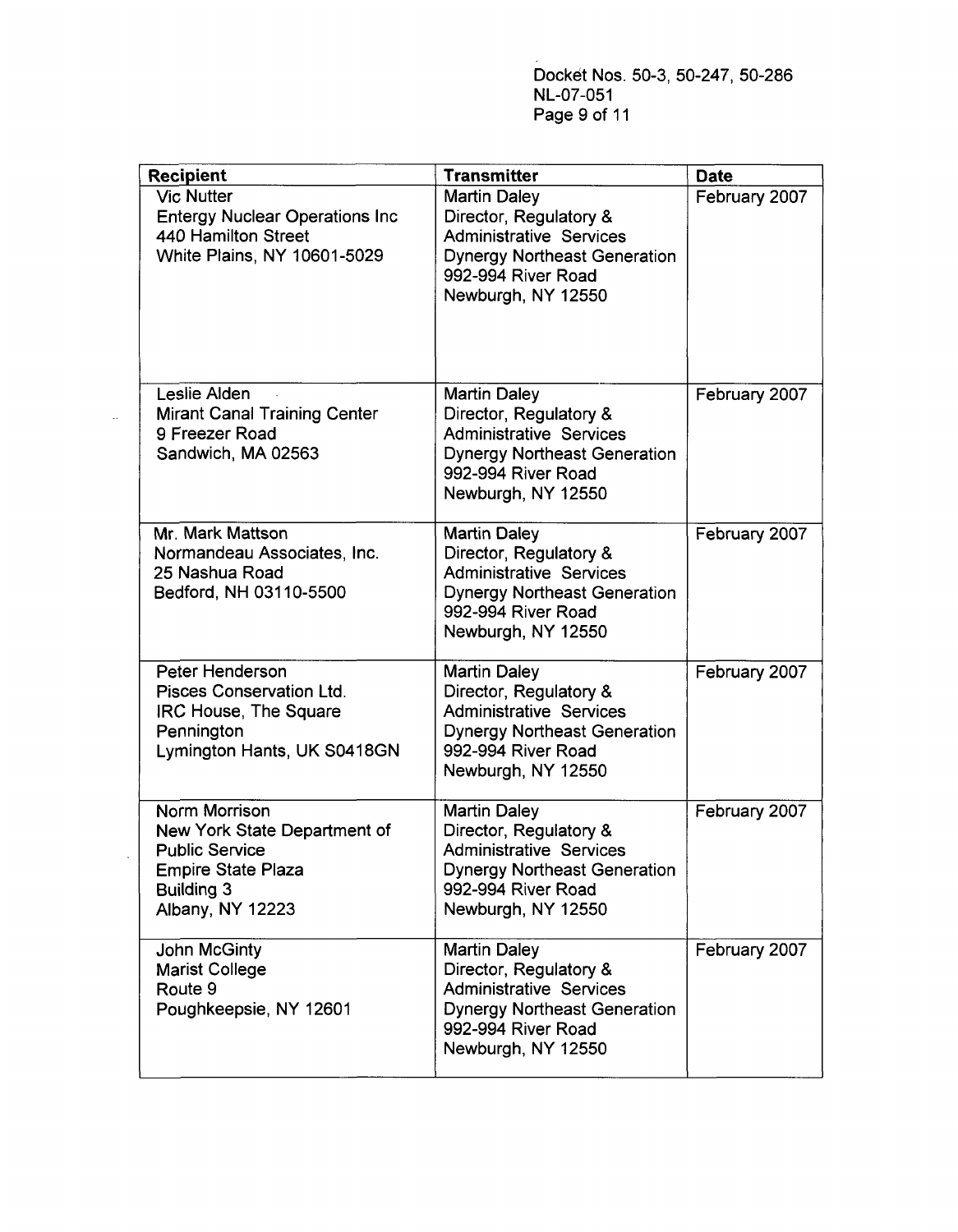Docket Nos. 50-3, 50-247, 50-286 NL-07-051 Page 9 of 11

| <b>Recipient</b>                                                                                                                             | <b>Transmitter</b>                                                                                                                                                 | <b>Date</b>   |
|----------------------------------------------------------------------------------------------------------------------------------------------|--------------------------------------------------------------------------------------------------------------------------------------------------------------------|---------------|
| <b>Vic Nutter</b><br><b>Entergy Nuclear Operations Inc.</b><br>440 Hamilton Street<br>White Plains, NY 10601-5029                            | <b>Martin Daley</b><br>Director, Regulatory &<br><b>Administrative Services</b><br><b>Dynergy Northeast Generation</b><br>992-994 River Road<br>Newburgh, NY 12550 | February 2007 |
| Leslie Alden<br><b>Mirant Canal Training Center</b><br>9 Freezer Road<br>Sandwich, MA 02563                                                  | <b>Martin Daley</b><br>Director, Regulatory &<br><b>Administrative Services</b><br><b>Dynergy Northeast Generation</b><br>992-994 River Road<br>Newburgh, NY 12550 | February 2007 |
| Mr. Mark Mattson<br>Normandeau Associates, Inc.<br>25 Nashua Road<br>Bedford, NH 03110-5500                                                  | <b>Martin Daley</b><br>Director, Regulatory &<br><b>Administrative Services</b><br><b>Dynergy Northeast Generation</b><br>992-994 River Road<br>Newburgh, NY 12550 | February 2007 |
| Peter Henderson<br>Pisces Conservation Ltd.<br>IRC House, The Square<br>Pennington<br>Lymington Hants, UK S0418GN                            | <b>Martin Daley</b><br>Director, Regulatory &<br><b>Administrative Services</b><br><b>Dynergy Northeast Generation</b><br>992-994 River Road<br>Newburgh, NY 12550 | February 2007 |
| Norm Morrison<br>New York State Department of<br><b>Public Service</b><br><b>Empire State Plaza</b><br><b>Building 3</b><br>Albany, NY 12223 | <b>Martin Daley</b><br>Director, Regulatory &<br><b>Administrative Services</b><br><b>Dynergy Northeast Generation</b><br>992-994 River Road<br>Newburgh, NY 12550 | February 2007 |
| <b>John McGinty</b><br><b>Marist College</b><br>Route 9<br>Poughkeepsie, NY 12601                                                            | <b>Martin Daley</b><br>Director, Regulatory &<br><b>Administrative Services</b><br><b>Dynergy Northeast Generation</b><br>992-994 River Road<br>Newburgh, NY 12550 | February 2007 |

 $\mathcal{A}$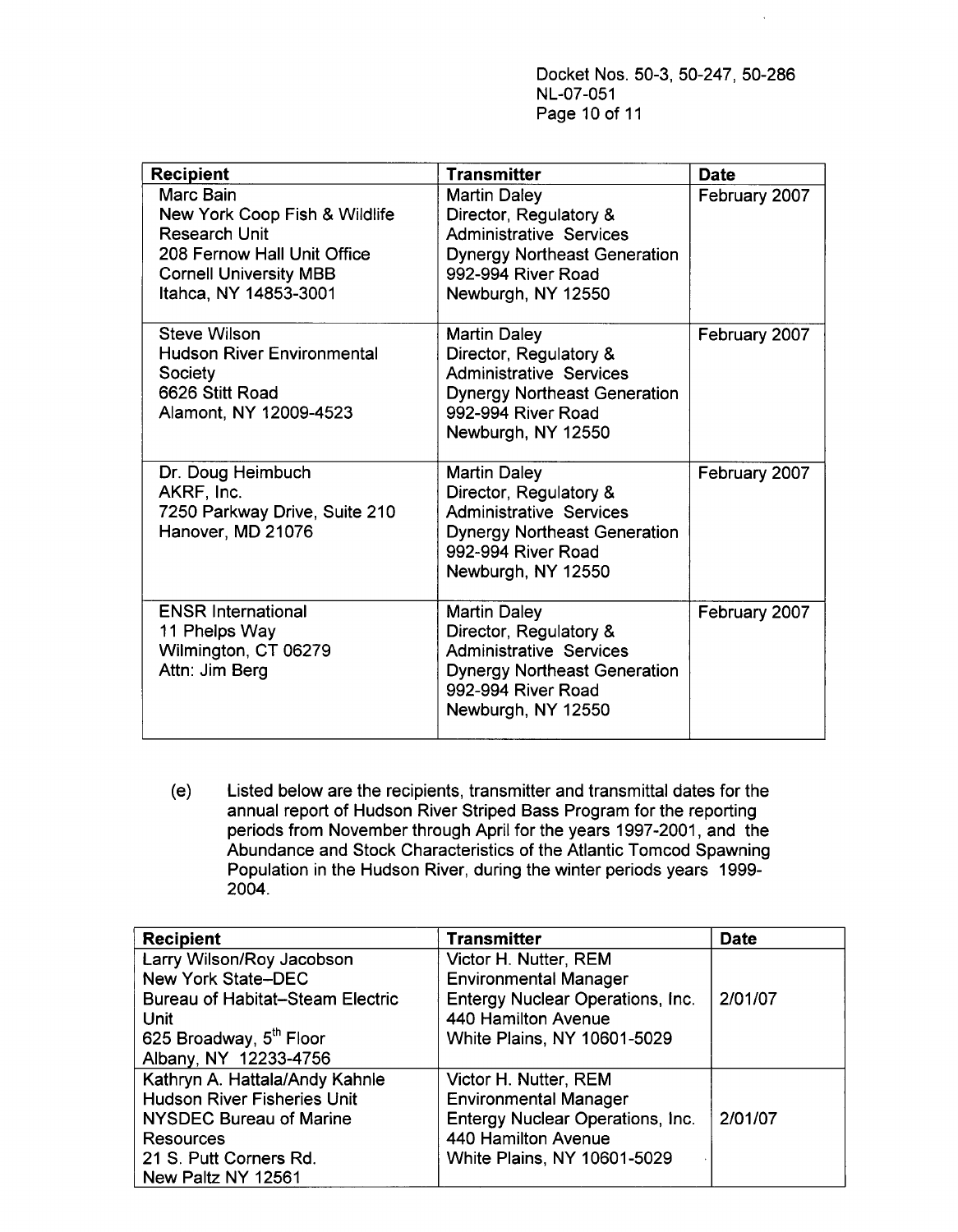Docket Nos. 50-3, 50-247, 50-286 NL-07-051 Page 10 of 11

| <b>Recipient</b>                                                                                                                                            | <b>Transmitter</b>                                                                                                                                                 | <b>Date</b>   |
|-------------------------------------------------------------------------------------------------------------------------------------------------------------|--------------------------------------------------------------------------------------------------------------------------------------------------------------------|---------------|
| Marc Bain<br>New York Coop Fish & Wildlife<br><b>Research Unit</b><br>208 Fernow Hall Unit Office<br><b>Cornell University MBB</b><br>Itahca, NY 14853-3001 | <b>Martin Daley</b><br>Director, Regulatory &<br><b>Administrative Services</b><br><b>Dynergy Northeast Generation</b><br>992-994 River Road<br>Newburgh, NY 12550 | February 2007 |
| Steve Wilson<br><b>Hudson River Environmental</b><br>Society<br>6626 Stitt Road<br>Alamont, NY 12009-4523                                                   | <b>Martin Daley</b><br>Director, Regulatory &<br><b>Administrative Services</b><br><b>Dynergy Northeast Generation</b><br>992-994 River Road<br>Newburgh, NY 12550 | February 2007 |
| Dr. Doug Heimbuch<br>AKRF, Inc.<br>7250 Parkway Drive, Suite 210<br>Hanover, MD 21076                                                                       | <b>Martin Daley</b><br>Director, Regulatory &<br><b>Administrative Services</b><br><b>Dynergy Northeast Generation</b><br>992-994 River Road<br>Newburgh, NY 12550 | February 2007 |
| <b>ENSR International</b><br>11 Phelps Way<br>Wilmington, CT 06279<br>Attn: Jim Berg                                                                        | <b>Martin Daley</b><br>Director, Regulatory &<br><b>Administrative Services</b><br><b>Dynergy Northeast Generation</b><br>992-994 River Road<br>Newburgh, NY 12550 | February 2007 |

(e) Listed below are the recipients, transmitter and transmittal dates for the annual report of Hudson River Striped Bass Program for the reporting periods from November through April for the years 1997-2001, and the Abundance and Stock Characteristics of the Atlantic Tomcod Spawning Population in the Hudson River, during the winter periods years 1999-2004.

| <b>Recipient</b>                        | <b>Transmitter</b>               | <b>Date</b> |
|-----------------------------------------|----------------------------------|-------------|
| Larry Wilson/Roy Jacobson               | Victor H. Nutter, REM            |             |
| <b>New York State-DEC</b>               | <b>Environmental Manager</b>     |             |
| <b>Bureau of Habitat-Steam Electric</b> | Entergy Nuclear Operations, Inc. | 2/01/07     |
| <b>Unit</b>                             | 440 Hamilton Avenue              |             |
| 625 Broadway, 5 <sup>th</sup> Floor     | White Plains, NY 10601-5029      |             |
| Albany, NY 12233-4756                   |                                  |             |
| Kathryn A. Hattala/Andy Kahnle          | Victor H. Nutter, REM            |             |
| <b>Hudson River Fisheries Unit</b>      | <b>Environmental Manager</b>     |             |
| <b>NYSDEC Bureau of Marine</b>          | Entergy Nuclear Operations, Inc. | 2/01/07     |
| Resources                               | 440 Hamilton Avenue              |             |
| 21 S. Putt Corners Rd.                  | White Plains, NY 10601-5029      |             |
| New Paltz NY 12561                      |                                  |             |